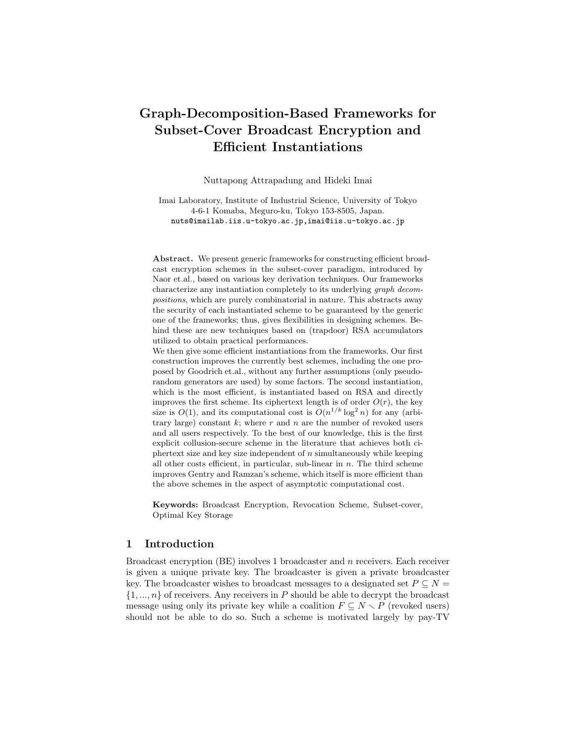# Graph-Decomposition-Based Frameworks for Subset-Cover Broadcast Encryption and Efficient Instantiations

Nuttapong Attrapadung and Hideki Imai

Imai Laboratory, Institute of Industrial Science, University of Tokyo 4-6-1 Komaba, Meguro-ku, Tokyo 153-8505, Japan. nuts@imailab.iis.u-tokyo.ac.jp,imai@iis.u-tokyo.ac.jp

Abstract. We present generic frameworks for constructing efficient broadcast encryption schemes in the subset-cover paradigm, introduced by Naor et.al., based on various key derivation techniques. Our frameworks characterize any instantiation completely to its underlying graph decompositions, which are purely combinatorial in nature. This abstracts away the security of each instantiated scheme to be guaranteed by the generic one of the frameworks; thus, gives flexibilities in designing schemes. Behind these are new techniques based on (trapdoor) RSA accumulators utilized to obtain practical performances.

We then give some efficient instantiations from the frameworks. Our first construction improves the currently best schemes, including the one proposed by Goodrich et.al., without any further assumptions (only pseudorandom generators are used) by some factors. The second instantiation, which is the most efficient, is instantiated based on RSA and directly improves the first scheme. Its ciphertext length is of order  $O(r)$ , the key size is  $O(1)$ , and its computational cost is  $O(n^{1/k} \log^2 n)$  for any (arbitrary large) constant  $k$ ; where  $r$  and  $n$  are the number of revoked users and all users respectively. To the best of our knowledge, this is the first explicit collusion-secure scheme in the literature that achieves both ciphertext size and key size independent of  $n$  simultaneously while keeping all other costs efficient, in particular, sub-linear in  $n$ . The third scheme improves Gentry and Ramzan's scheme, which itself is more efficient than the above schemes in the aspect of asymptotic computational cost.

Keywords: Broadcast Encryption, Revocation Scheme, Subset-cover, Optimal Key Storage

# 1 Introduction

Broadcast encryption (BE) involves 1 broadcaster and n receivers. Each receiver is given a unique private key. The broadcaster is given a private broadcaster key. The broadcaster wishes to broadcast messages to a designated set  $P \subseteq N =$  $\{1, ..., n\}$  of receivers. Any receivers in P should be able to decrypt the broadcast message using only its private key while a coalition  $F \subseteq N \setminus P$  (revoked users) should not be able to do so. Such a scheme is motivated largely by pay-TV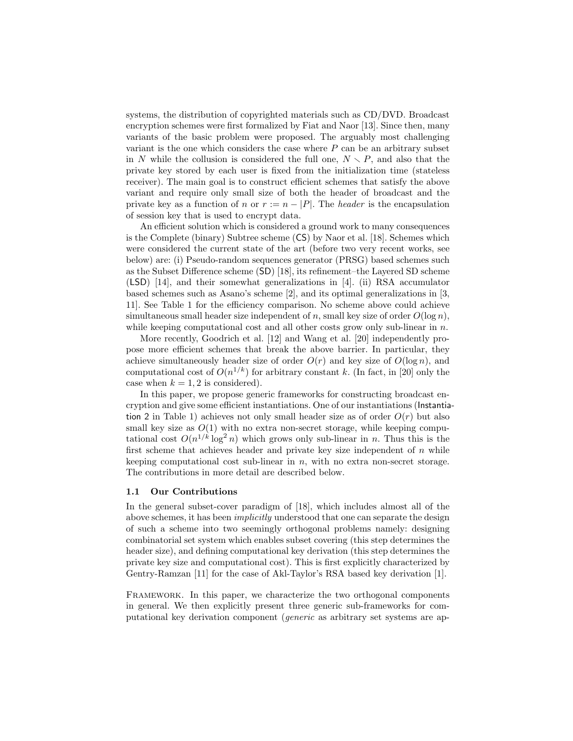systems, the distribution of copyrighted materials such as CD/DVD. Broadcast encryption schemes were first formalized by Fiat and Naor [13]. Since then, many variants of the basic problem were proposed. The arguably most challenging variant is the one which considers the case where  $P$  can be an arbitrary subset in N while the collusion is considered the full one,  $N \setminus P$ , and also that the private key stored by each user is fixed from the initialization time (stateless receiver). The main goal is to construct efficient schemes that satisfy the above variant and require only small size of both the header of broadcast and the private key as a function of n or  $r := n - |P|$ . The header is the encapsulation of session key that is used to encrypt data.

An efficient solution which is considered a ground work to many consequences is the Complete (binary) Subtree scheme (CS) by Naor et al. [18]. Schemes which were considered the current state of the art (before two very recent works, see below) are: (i) Pseudo-random sequences generator (PRSG) based schemes such as the Subset Difference scheme (SD) [18], its refinement–the Layered SD scheme (LSD) [14], and their somewhat generalizations in [4]. (ii) RSA accumulator based schemes such as Asano's scheme [2], and its optimal generalizations in [3, 11]. See Table 1 for the efficiency comparison. No scheme above could achieve simultaneous small header size independent of n, small key size of order  $O(\log n)$ , while keeping computational cost and all other costs grow only sub-linear in  $n$ .

More recently, Goodrich et al. [12] and Wang et al. [20] independently propose more efficient schemes that break the above barrier. In particular, they achieve simultaneously header size of order  $O(r)$  and key size of  $O(\log n)$ , and computational cost of  $O(n^{1/k})$  for arbitrary constant k. (In fact, in [20] only the case when  $k = 1, 2$  is considered).

In this paper, we propose generic frameworks for constructing broadcast encryption and give some efficient instantiations. One of our instantiations (Instantiation 2 in Table 1) achieves not only small header size as of order  $O(r)$  but also small key size as  $O(1)$  with no extra non-secret storage, while keeping computational cost  $O(n^{1/k} \log^2 n)$  which grows only sub-linear in n. Thus this is the first scheme that achieves header and private key size independent of  $n$  while keeping computational cost sub-linear in  $n$ , with no extra non-secret storage. The contributions in more detail are described below.

#### 1.1 Our Contributions

In the general subset-cover paradigm of [18], which includes almost all of the above schemes, it has been *implicitly* understood that one can separate the design of such a scheme into two seemingly orthogonal problems namely: designing combinatorial set system which enables subset covering (this step determines the header size), and defining computational key derivation (this step determines the private key size and computational cost). This is first explicitly characterized by Gentry-Ramzan [11] for the case of Akl-Taylor's RSA based key derivation [1].

Framework. In this paper, we characterize the two orthogonal components in general. We then explicitly present three generic sub-frameworks for computational key derivation component (generic as arbitrary set systems are ap-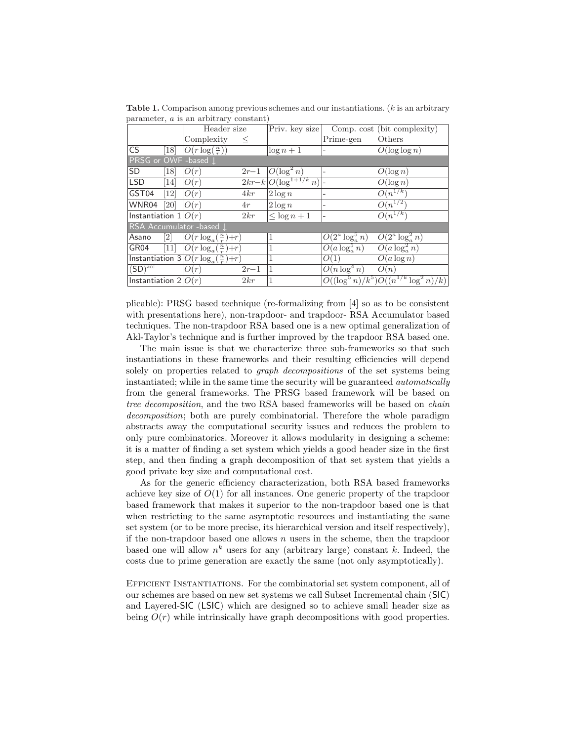**Table 1.** Comparison among previous schemes and our instantiations.  $(k \text{ is an arbitrary})$ parameter, a is an arbitrary constant)

|                          |                  | Header size                                  |          | Priv. key size             | Comp. cost (bit complexity) |                                            |  |  |  |  |  |
|--------------------------|------------------|----------------------------------------------|----------|----------------------------|-----------------------------|--------------------------------------------|--|--|--|--|--|
|                          |                  | Complexity                                   | $\leq$   |                            | Prime-gen                   | Others                                     |  |  |  |  |  |
| <b>CS</b>                | [18]             | $\overline{O(r \log(\frac{n}{r}))}$          |          | $\log n + 1$               |                             | $O(\log \log n)$                           |  |  |  |  |  |
| PRSG or OWF -based J     |                  |                                              |          |                            |                             |                                            |  |  |  |  |  |
| SD                       | [18]             | O(r)                                         | $2r-1$   | $O(\log^2 n)$              |                             | $O(\log n)$                                |  |  |  |  |  |
| <b>LSD</b>               | [14]             | O(r)                                         |          | $2kr-k O(\log^{1+1/k} n) $ |                             | $O(\log n)$                                |  |  |  |  |  |
| GST04                    | [12]             | O(r)                                         | 4kr      | $2 \log n$                 |                             | $O(n^{1/k})$                               |  |  |  |  |  |
| WNR04                    | [20]             | O(r)                                         | 4r       | $2\log n$                  |                             | $\overline{O(n^{1/2})}$                    |  |  |  |  |  |
| Instantiation $1 O(r)$   |                  |                                              | 2kr      | $\leq \log n + 1$          | $\overline{\phantom{a}}$    | $O(n^{1/k})$                               |  |  |  |  |  |
| RSA Accumulator -based L |                  |                                              |          |                            |                             |                                            |  |  |  |  |  |
| Asano                    | $\left[2\right]$ | $O(r \log_a(\frac{n}{r}) + r)$               |          | 1                          | $O(2^a \log_a^5 n)$         | $O(2^a \log_a^2 n)$                        |  |  |  |  |  |
| GR04                     | $\overline{1}11$ | $\overline{O(r \log_a(\frac{n}{r})+r)}$      |          | 1                          | $O(a \log_a^5 n)$           | $O(a \log_a^2 n)$                          |  |  |  |  |  |
|                          |                  | Instantiation $3 O(r \log_a(\frac{n}{r})+r)$ |          | 1                          | O(1)                        | $O(a \log n)$                              |  |  |  |  |  |
| $\overline{(SD)^{acc}}$  |                  | O(r)                                         | $2r - 1$ | $\vert$ 1                  | $O(n \log^4 n)$             | O(n)                                       |  |  |  |  |  |
| Instantiation $2 O(r) $  |                  |                                              | 2kr      | 1                          |                             | $O((\log^5 n)/k^5)O((n^{1/k} \log^2 n)/k)$ |  |  |  |  |  |

plicable): PRSG based technique (re-formalizing from [4] so as to be consistent with presentations here), non-trapdoor- and trapdoor- RSA Accumulator based techniques. The non-trapdoor RSA based one is a new optimal generalization of Akl-Taylor's technique and is further improved by the trapdoor RSA based one.

The main issue is that we characterize three sub-frameworks so that such instantiations in these frameworks and their resulting efficiencies will depend solely on properties related to *graph decompositions* of the set systems being instantiated; while in the same time the security will be guaranteed *automatically* from the general frameworks. The PRSG based framework will be based on tree decomposition, and the two RSA based frameworks will be based on chain decomposition; both are purely combinatorial. Therefore the whole paradigm abstracts away the computational security issues and reduces the problem to only pure combinatorics. Moreover it allows modularity in designing a scheme: it is a matter of finding a set system which yields a good header size in the first step, and then finding a graph decomposition of that set system that yields a good private key size and computational cost.

As for the generic efficiency characterization, both RSA based frameworks achieve key size of  $O(1)$  for all instances. One generic property of the trapdoor based framework that makes it superior to the non-trapdoor based one is that when restricting to the same asymptotic resources and instantiating the same set system (or to be more precise, its hierarchical version and itself respectively), if the non-trapdoor based one allows  $n$  users in the scheme, then the trapdoor based one will allow  $n^k$  users for any (arbitrary large) constant k. Indeed, the costs due to prime generation are exactly the same (not only asymptotically).

Efficient Instantiations. For the combinatorial set system component, all of our schemes are based on new set systems we call Subset Incremental chain (SIC) and Layered-SIC (LSIC) which are designed so to achieve small header size as being  $O(r)$  while intrinsically have graph decompositions with good properties.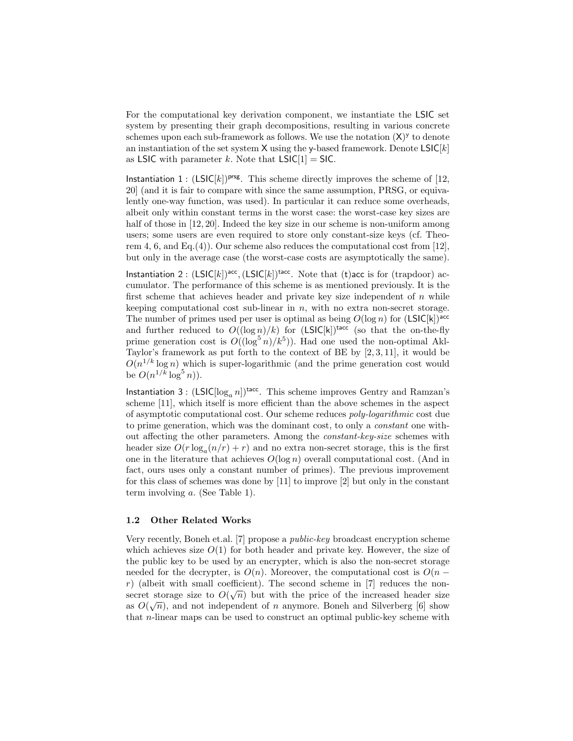For the computational key derivation component, we instantiate the LSIC set system by presenting their graph decompositions, resulting in various concrete schemes upon each sub-framework as follows. We use the notation  $(X)$ <sup>y</sup> to denote an instantiation of the set system  $X$  using the y-based framework. Denote  $LSIC[k]$ as LSIC with parameter k. Note that  $LSIC[1] = SIC$ .

Instantiation 1 :  $(LSIC[k])^{prsg}$ . This scheme directly improves the scheme of [12, 20] (and it is fair to compare with since the same assumption, PRSG, or equivalently one-way function, was used). In particular it can reduce some overheads, albeit only within constant terms in the worst case: the worst-case key sizes are half of those in [12, 20]. Indeed the key size in our scheme is non-uniform among users; some users are even required to store only constant-size keys (cf. Theorem 4, 6, and Eq.(4)). Our scheme also reduces the computational cost from  $[12]$ , but only in the average case (the worst-case costs are asymptotically the same).

Instantiation 2:  $(LSIC[k])^{acc}$ ,  $(LSIC[k])^{tacc}$ . Note that (t)acc is for (trapdoor) accumulator. The performance of this scheme is as mentioned previously. It is the first scheme that achieves header and private key size independent of  $n$  while keeping computational cost sub-linear in  $n$ , with no extra non-secret storage. The number of primes used per user is optimal as being  $O(\log n)$  for  $(LSIC[k])^{acc}$ and further reduced to  $O((\log n)/k)$  for  $(LSIC[k])^{\text{tacc}}$  (so that the on-the-fly prime generation cost is  $O((\log^{5} n)/k^{5})$ ). Had one used the non-optimal Akl-Taylor's framework as put forth to the context of BE by [2, 3, 11], it would be  $O(n^{1/k} \log n)$  which is super-logarithmic (and the prime generation cost would be  $O(n^{1/k} \log^5 n)$ .

Instantiation 3:  $(LSIC[log_a n])^{\text{tacc}}$ . This scheme improves Gentry and Ramzan's scheme [11], which itself is more efficient than the above schemes in the aspect of asymptotic computational cost. Our scheme reduces poly-logarithmic cost due to prime generation, which was the dominant cost, to only a constant one without affecting the other parameters. Among the constant-key-size schemes with header size  $O(r \log_a (n/r) + r)$  and no extra non-secret storage, this is the first one in the literature that achieves  $O(\log n)$  overall computational cost. (And in fact, ours uses only a constant number of primes). The previous improvement for this class of schemes was done by [11] to improve [2] but only in the constant term involving a. (See Table 1).

#### 1.2 Other Related Works

Very recently, Boneh et.al. [7] propose a public-key broadcast encryption scheme which achieves size  $O(1)$  for both header and private key. However, the size of the public key to be used by an encrypter, which is also the non-secret storage needed for the decrypter, is  $O(n)$ . Moreover, the computational cost is  $O(n$ r) (albeit with small coefficient). The second scheme in [7] reduces the nonsecret storage size to  $O(\sqrt{n})$  but with the price of the increased header size as  $O(\sqrt{n})$ , and not independent of n anymore. Boneh and Silverberg [6] show that n-linear maps can be used to construct an optimal public-key scheme with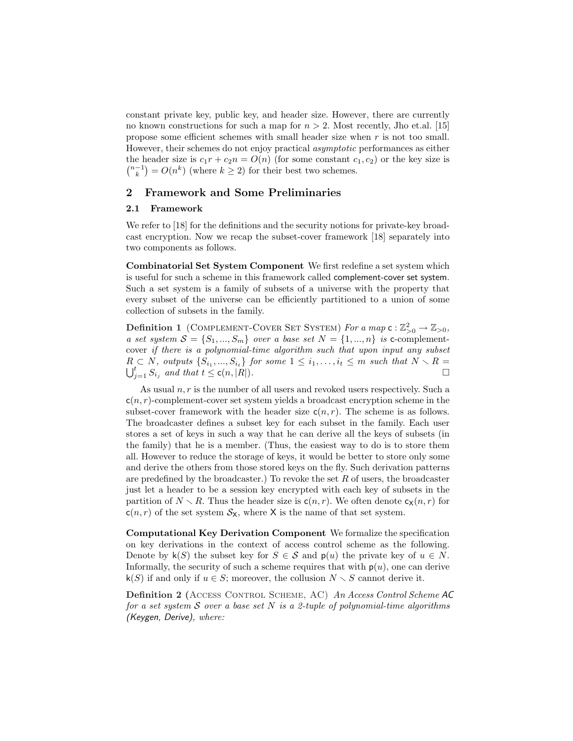constant private key, public key, and header size. However, there are currently no known constructions for such a map for  $n > 2$ . Most recently, Jho et.al. [15] propose some efficient schemes with small header size when r is not too small. However, their schemes do not enjoy practical asymptotic performances as either the header size is  $c_1r + c_2n = O(n)$  (for some constant  $c_1, c_2$ ) or the key size is the header size is  $c_1r + c_2n = O(n)$  (for some constant  $c\binom{n-1}{k} = O(n^k)$  (where  $k \geq 2$ ) for their best two schemes.

# 2 Framework and Some Preliminaries

#### 2.1 Framework

We refer to [18] for the definitions and the security notions for private-key broadcast encryption. Now we recap the subset-cover framework [18] separately into two components as follows.

Combinatorial Set System Component We first redefine a set system which is useful for such a scheme in this framework called complement-cover set system. Such a set system is a family of subsets of a universe with the property that every subset of the universe can be efficiently partitioned to a union of some collection of subsets in the family.

**Definition 1** (COMPLEMENT-COVER SET SYSTEM) For a map  $\mathsf{c} : \mathbb{Z}_{>0}^2 \to \mathbb{Z}_{>0}$ , a set system  $S = \{S_1, ..., S_m\}$  over a base set  $N = \{1, ..., n\}$  is c-complementcover if there is a polynomial-time algorithm such that upon input any subset  $R \subset N$ , outputs  $\{S_{i_1},...,S_{i_t}\}$  for some  $1 \leq i_1,...,i_t \leq m$  such that  $N \setminus R =$  $\bigcup_{i=1}^t S_{i_i}$  and that  $t \leq \mathsf{c}(n, |R|)$ .

As usual  $n, r$  is the number of all users and revoked users respectively. Such a  $c(n, r)$ -complement-cover set system yields a broadcast encryption scheme in the subset-cover framework with the header size  $c(n, r)$ . The scheme is as follows. The broadcaster defines a subset key for each subset in the family. Each user stores a set of keys in such a way that he can derive all the keys of subsets (in the family) that he is a member. (Thus, the easiest way to do is to store them all. However to reduce the storage of keys, it would be better to store only some and derive the others from those stored keys on the fly. Such derivation patterns are predefined by the broadcaster.) To revoke the set  $R$  of users, the broadcaster just let a header to be a session key encrypted with each key of subsets in the partition of  $N \setminus R$ . Thus the header size is  $c(n, r)$ . We often denote  $c_{\mathsf{X}}(n, r)$  for  $c(n, r)$  of the set system  $S_{\mathsf{X}}$ , where X is the name of that set system.

Computational Key Derivation Component We formalize the specification on key derivations in the context of access control scheme as the following. Denote by  $\mathsf{k}(S)$  the subset key for  $S \in \mathcal{S}$  and  $\mathsf{p}(u)$  the private key of  $u \in N$ . Informally, the security of such a scheme requires that with  $p(u)$ , one can derive k(S) if and only if  $u \in S$ ; moreover, the collusion  $N \setminus S$  cannot derive it.

Definition 2 (Access Control Scheme, AC) An Access Control Scheme AC for a set system  $S$  over a base set N is a 2-tuple of polynomial-time algorithms (Keygen, Derive), where: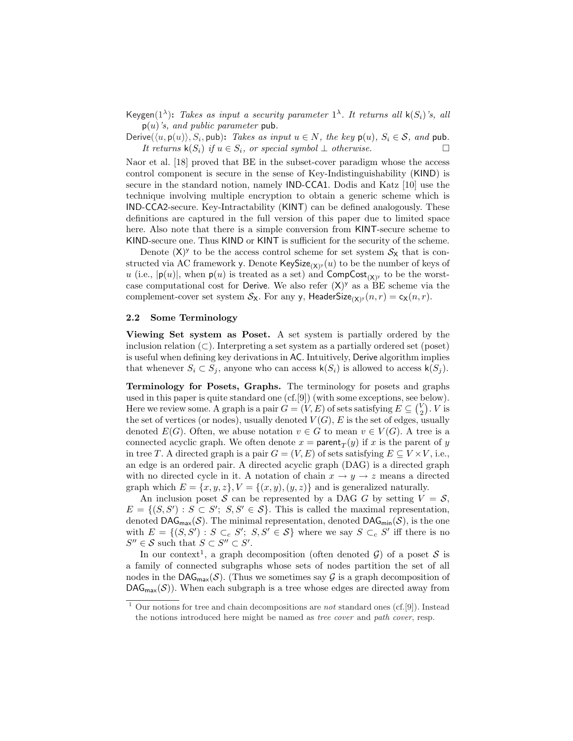Keygen( $1^{\lambda}$ ): Takes as input a security parameter  $1^{\lambda}$ . It returns all  $\mathsf{k}(S_i)$ 's, all  $p(u)$ 's, and public parameter pub.

Derive( $\langle u, \mathsf{p}(u) \rangle, S_i$ , pub): Takes as input  $u \in N$ , the key  $\mathsf{p}(u), S_i \in \mathcal{S}$ , and  $\mathsf{pub}$ . It returns  $\mathsf{k}(S_i)$  if  $u \in S_i$ , or special symbol  $\perp$  otherwise.  $\Box$ 

Naor et al. [18] proved that BE in the subset-cover paradigm whose the access control component is secure in the sense of Key-Indistinguishability (KIND) is secure in the standard notion, namely IND-CCA1. Dodis and Katz [10] use the technique involving multiple encryption to obtain a generic scheme which is IND-CCA2-secure. Key-Intractability (KINT) can be defined analogously. These definitions are captured in the full version of this paper due to limited space here. Also note that there is a simple conversion from KINT-secure scheme to KIND-secure one. Thus KIND or KINT is sufficient for the security of the scheme.

Denote  $(X)$ <sup>y</sup> to be the access control scheme for set system  $S_X$  that is constructed via AC framework y. Denote  $\mathsf{KeySize}_{(\mathsf{X})^y}(u)$  to be the number of keys of u (i.e.,  $|\mathbf{p}(u)|$ , when  $\mathbf{p}(u)$  is treated as a set) and  $\mathsf{CompCost}_{(\mathsf{X})}$  to be the worstcase computational cost for Derive. We also refer  $(X)$ <sup>y</sup> as a BE scheme via the complement-cover set system  $S_{\mathsf{X}}$ . For any y, HeaderSize<sub>(X)'</sub> $(n,r) = c_{\mathsf{X}}(n,r)$ .

#### 2.2 Some Terminology

Viewing Set system as Poset. A set system is partially ordered by the inclusion relation  $(\subset)$ . Interpreting a set system as a partially ordered set (poset) is useful when defining key derivations in AC. Intuitively, Derive algorithm implies that whenever  $S_i \subset S_j$ , anyone who can access  $\mathsf{k}(S_i)$  is allowed to access  $\mathsf{k}(S_j)$ .

Terminology for Posets, Graphs. The terminology for posets and graphs used in this paper is quite standard one  $(cf.[9])$  (with some exceptions, see below). Here we review some. A graph is a pair  $G = (V, E)$  of sets satisfying  $E \subseteq {V \choose 2}$ . V is the set of vertices (or nodes), usually denoted  $V(G)$ , E is the set of edges, usually denoted  $E(G)$ . Often, we abuse notation  $v \in G$  to mean  $v \in V(G)$ . A tree is a connected acyclic graph. We often denote  $x = \text{parent}_T(y)$  if x is the parent of y in tree T. A directed graph is a pair  $G = (V, E)$  of sets satisfying  $E \subseteq V \times V$ , i.e., an edge is an ordered pair. A directed acyclic graph (DAG) is a directed graph with no directed cycle in it. A notation of chain  $x \to y \to z$  means a directed graph which  $E = \{x, y, z\}, V = \{(x, y), (y, z)\}$  and is generalized naturally.

An inclusion poset S can be represented by a DAG G by setting  $V = S$ ,  $E = \{(S, S') : S \subset S'; S, S' \in S\}.$  This is called the maximal representation, denoted DAG<sub>max</sub>(S). The minimal representation, denoted DAG<sub>min</sub>(S), is the one with  $E = \{(S, S') : S \subset_c S'; S, S' \in S\}$  where we say  $S \subset_c S'$  iff there is no  $S'' \in \mathcal{S}$  such that  $S \subset S'' \subset S'$ .

In our context<sup>1</sup>, a graph decomposition (often denoted  $\mathcal{G}$ ) of a poset  $\mathcal{S}$  is a family of connected subgraphs whose sets of nodes partition the set of all nodes in the DAG<sub>max</sub>(S). (Thus we sometimes say G is a graph decomposition of  $\mathsf{DAG}_{\mathsf{max}}(\mathcal{S})$ . When each subgraph is a tree whose edges are directed away from

<sup>&</sup>lt;sup>1</sup> Our notions for tree and chain decompositions are *not* standard ones (cf.[9]). Instead the notions introduced here might be named as tree cover and path cover, resp.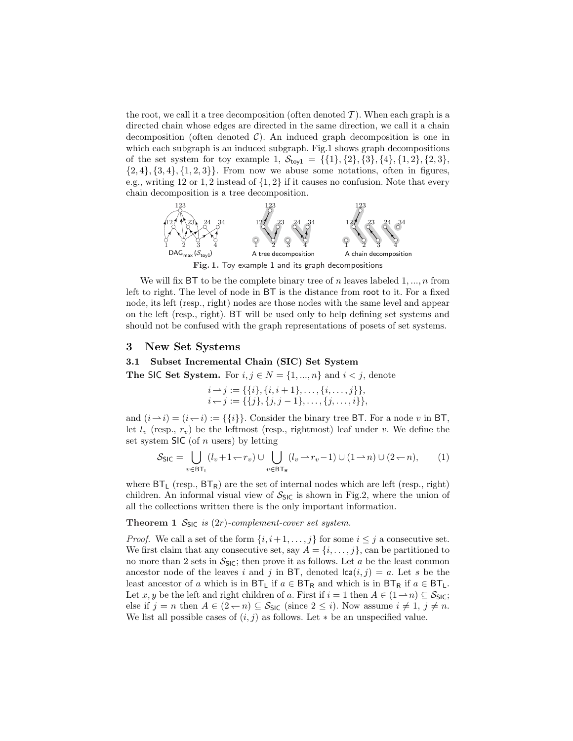the root, we call it a tree decomposition (often denoted  $\mathcal{T}$ ). When each graph is a directed chain whose edges are directed in the same direction, we call it a chain decomposition (often denoted  $C$ ). An induced graph decomposition is one in which each subgraph is an induced subgraph. Fig.1 shows graph decompositions of the set system for toy example 1,  $S_{\text{toy1}} = {\{1\}, {2\}, {3\}, {4\}, {1, 2\}, {2, 3\}}$ ,  $\{2, 4\}, \{3, 4\}, \{1, 2, 3\}\}.$  From now we abuse some notations, often in figures, e.g., writing 12 or 1, 2 instead of  $\{1,2\}$  if it causes no confusion. Note that every chain decomposition is a tree decomposition.



Fig. 1. Toy example 1 and its graph decompositions

We will fix BT to be the complete binary tree of n leaves labeled  $1, ..., n$  from left to right. The level of node in BT is the distance from root to it. For a fixed node, its left (resp., right) nodes are those nodes with the same level and appear on the left (resp., right). BT will be used only to help defining set systems and should not be confused with the graph representations of posets of set systems.

# 3 New Set Systems

## 3.1 Subset Incremental Chain (SIC) Set System

The SIC Set System. For  $i, j \in N = \{1, ..., n\}$  and  $i < j$ , denote

 $i \rightarrow j := \{ \{i\}, \{i, i + 1\}, \ldots, \{i, \ldots, j\} \},\$  $i \leftarrow j := \{ \{j\}, \{j, j - 1\}, \ldots, \{j, \ldots, i\} \},\$ 

and  $(i \rightarrow i) = (i \rightarrow i) := {\{i\}}$ . Consider the binary tree BT. For a node v in BT, let  $l_v$  (resp.,  $r_v$ ) be the leftmost (resp., rightmost) leaf under v. We define the set system  $\mathsf{SIC}$  (of *n* users) by letting

$$
S_{\text{SIC}} = \bigcup_{v \in \text{BT}_{\text{L}}} (l_v + 1 - r_v) \cup \bigcup_{v \in \text{BT}_{\text{R}}} (l_v \rightarrow r_v - 1) \cup (1 \rightarrow n) \cup (2 \rightarrow n), \tag{1}
$$

where  $BT_L$  (resp.,  $BT_R$ ) are the set of internal nodes which are left (resp., right) children. An informal visual view of  $S_{SIC}$  is shown in Fig.2, where the union of all the collections written there is the only important information.

### Theorem 1  $S_{\text{SIC}}$  is (2r)-complement-cover set system.

*Proof.* We call a set of the form  $\{i, i+1, \ldots, j\}$  for some  $i \leq j$  a consecutive set. We first claim that any consecutive set, say  $A = \{i, \ldots, j\}$ , can be partitioned to no more than 2 sets in  $S_{\text{SIC}}$ ; then prove it as follows. Let a be the least common ancestor node of the leaves i and j in BT, denoted  $lca(i, j) = a$ . Let s be the least ancestor of a which is in  $BT_L$  if  $a \in BT_R$  and which is in  $BT_R$  if  $a \in BT_L$ . Let x, y be the left and right children of a. First if  $i = 1$  then  $A \in (1 \rightarrow n) \subseteq S_{\text{SIC}}$ ; else if  $j = n$  then  $A \in (2 - n) \subseteq S_{\text{SIC}}$  (since  $2 \leq i$ ). Now assume  $i \neq 1, j \neq n$ . We list all possible cases of  $(i, j)$  as follows. Let  $*$  be an unspecified value.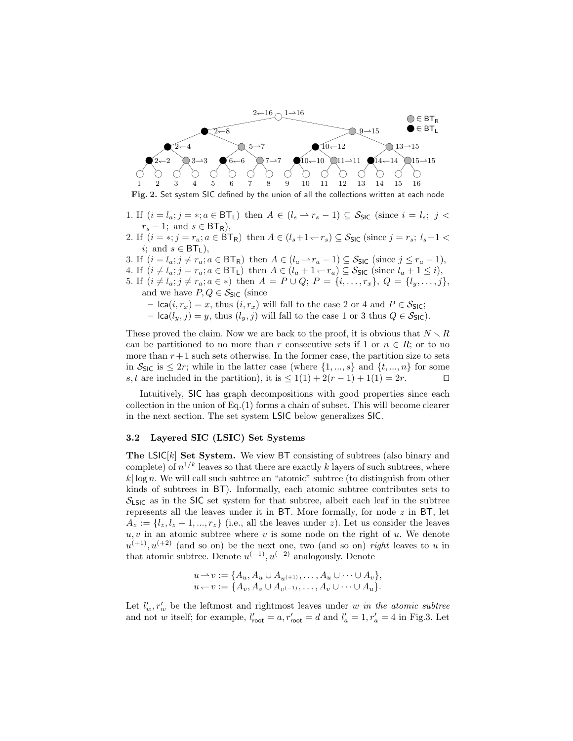

Fig. 2. Set system SIC defined by the union of all the collections written at each node

- 1. If  $(i = l_a; j = *, a \in \mathsf{BT}_\mathsf{L})$  then  $A \in (l_s \rightarrow r_s 1) \subseteq S_{\mathsf{SIC}}$  (since  $i = l_s; j <$  $r_s - 1$ ; and  $s \in \text{BT}_{\text{R}}$ ),
- 2. If  $(i = *, j = r_a; a \in \overline{BT_R})$  then  $A \in (l_s + 1 r_s) \subseteq S_{\text{SIC}}$  (since  $j = r_s; l_s + 1 <$ i; and  $s \in \text{BT}_\text{L}$ ),
- 3. If  $(i = l_a; j \neq r_a; a \in \mathsf{BT}_{\mathsf{R}})$  then  $A \in (l_a \rightarrow r_a 1) \subseteq S_{\mathsf{SIC}}$  (since  $j \leq r_a 1$ ),
- 4. If  $(i \neq l_a; j = r_a; a \in BT_L)$  then  $A \in (l_a + 1 \leftarrow r_a) \subseteq S_{SIC}$  (since  $l_a + 1 \leq i$ ),
- 5. If  $(i \neq l_a; j \neq r_a; a \in \ast)$  then  $A = P \cup Q$ ;  $P = \{i, \ldots, r_x\}, Q = \{l_y, \ldots, j\},\$ and we have  $P, Q \in \mathcal{S}_{\text{SIC}}$  (since
	- $lca(i, r_x) = x$ , thus  $(i, r_x)$  will fall to the case 2 or 4 and  $P \in S_{SIC}$ ;
	- $lca(l_y, j) = y$ , thus  $(l_y, j)$  will fall to the case 1 or 3 thus  $Q \in S_{SIC}$ ).

These proved the claim. Now we are back to the proof, it is obvious that  $N \setminus R$ can be partitioned to no more than r consecutive sets if 1 or  $n \in R$ ; or to no more than  $r + 1$  such sets otherwise. In the former case, the partition size to sets in  $S_{\text{SIC}}$  is  $\leq 2r$ ; while in the latter case (where  $\{1, ..., s\}$  and  $\{t, ..., n\}$  for some s, t are included in the partition), it is  $\leq 1(1) + 2(r - 1) + 1(1) = 2r$ .

Intuitively, SIC has graph decompositions with good properties since each collection in the union of Eq.(1) forms a chain of subset. This will become clearer in the next section. The set system LSIC below generalizes SIC.

### 3.2 Layered SIC (LSIC) Set Systems

The  $LSIC[k]$  Set System. We view BT consisting of subtrees (also binary and complete) of  $n^{1/k}$  leaves so that there are exactly k layers of such subtrees, where  $k\log n$ . We will call such subtree an "atomic" subtree (to distinguish from other kinds of subtrees in BT). Informally, each atomic subtree contributes sets to  $S_{LSC}$  as in the SIC set system for that subtree, albeit each leaf in the subtree represents all the leaves under it in  $BT$ . More formally, for node  $z$  in  $BT$ , let  $A_z := \{l_z, l_z + 1, ..., r_z\}$  (i.e., all the leaves under z). Let us consider the leaves  $u, v$  in an atomic subtree where v is some node on the right of u. We denote  $u^{(+1)}$ ,  $u^{(+2)}$  (and so on) be the next one, two (and so on) right leaves to u in that atomic subtree. Denote  $u^{(-1)}$ ,  $u^{(-2)}$  analogously. Denote

$$
u \to v := \{A_u, A_u \cup A_{u^{(+1)}}, \dots, A_u \cup \dots \cup A_v\},
$$
  

$$
u \leftarrow v := \{A_v, A_v \cup A_{v^{(-1)}}, \dots, A_v \cup \dots \cup A_u\}.
$$

Let  $l'_w, r'_w$  be the leftmost and rightmost leaves under w in the atomic subtree and not w itself; for example,  $l'_{\text{root}} = a, r'_{\text{root}} = d$  and  $l'_{a} = 1, r'_{a} = 4$  in Fig.3. Let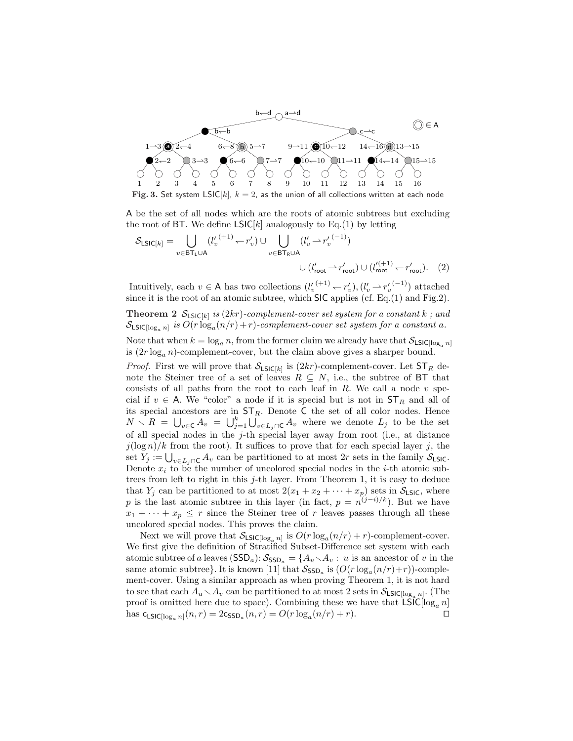

A be the set of all nodes which are the roots of atomic subtrees but excluding the root of BT. We define  $LSIC[k]$  analogously to Eq.(1) by letting

$$
S_{\text{LSIC}[k]} = \bigcup_{v \in \text{BT}_{\text{L}} \cup \text{A}} (l'_v \xrightarrow{(+1)} - r'_v) \cup \bigcup_{v \in \text{BT}_{\text{R}} \cup \text{A}} (l'_v \rightarrow r'_v \xrightarrow{(-1)})
$$
  

$$
\cup (l'_{\text{root}} \rightarrow r'_{\text{root}}) \cup (l'^{(+1)}_{\text{root}} \rightarrow r'_{\text{root}}). \quad (2)
$$

Intuitively, each  $v \in A$  has two collections  $(l'_{v}^{(+1)} \leftarrow r'_{v}), (l'_{v} \rightarrow r'_{v}^{(-1)})$  attached since it is the root of an atomic subtree, which SIC applies (cf. Eq.(1) and Fig.2).

**Theorem 2**  $\mathcal{S}_{LSlC[k]}$  is (2kr)-complement-cover set system for a constant k; and  $\mathcal{S}_{\mathsf{LSIC}[\log_{a} n]}$  is  $O(r\log_{a}(n/r) + r)$ -complement-cover set system for a constant a.

Note that when  $k = \log_a n$ , from the former claim we already have that  $\mathcal{S}_{\text{LSIC}[\log_a n]}$ is  $(2r \log_a n)$ -complement-cover, but the claim above gives a sharper bound.

*Proof.* First we will prove that  $S_{LSIC[k]}$  is  $(2kr)$ -complement-cover. Let  $ST_R$  denote the Steiner tree of a set of leaves  $R \subseteq N$ , i.e., the subtree of BT that consists of all paths from the root to each leaf in  $R$ . We call a node  $v$  special if  $v \in A$ . We "color" a node if it is special but is not in  $ST_R$  and all of its special ancestors are in  $ST_R$ . Denote C the set of all color nodes. Hence  $N \setminus R = \bigcup_{v \in C} A_v = \bigcup_{j=1}^k \bigcup_{v \in L_j \cap C} A_v$  where we denote  $L_j$  to be the set of all special nodes in the j-th special layer away from root (i.e., at distance  $j(\log n)/k$  from the root). It suffices to prove that for each special layer j, the  $y(\log n)/\kappa$  from the root). It sumes to prove that for each special layer j, the set  $Y_j := \bigcup_{v \in L_j \cap C} A_v$  can be partitioned to at most 2r sets in the family  $S_{LSC}$ . Denote  $x_i$  to be the number of uncolored special nodes in the *i*-th atomic subtrees from left to right in this  $j$ -th layer. From Theorem 1, it is easy to deduce that  $Y_j$  can be partitioned to at most  $2(x_1 + x_2 + \cdots + x_p)$  sets in  $S_{LSIC}$ , where p is the last atomic subtree in this layer (in fact,  $p = n^{(j-i)/k}$ ). But we have  $x_1 + \cdots + x_p \leq r$  since the Steiner tree of r leaves passes through all these uncolored special nodes. This proves the claim.

Next we will prove that  $S_{LSIC[log_a n]}$  is  $O(r \log_a(n/r) + r)$ -complement-cover. We first give the definition of Stratified Subset-Difference set system with each atomic subtree of a leaves  $(SSD_a): S_{SSD_a} = \{A_u \setminus A_v : u \text{ is an ancestor of } v \text{ in the } \}$ same atomic subtree}. It is known [11] that  $S_{\text{SSD}_a}$  is  $(O(r \log_a(n/r) + r))$ -complement-cover. Using a similar approach as when proving Theorem 1, it is not hard to see that each  $A_u \setminus A_v$  can be partitioned to at most 2 sets in  $S_{LSIC[log_a n]}$ . (The proof is omitted here due to space). Combining these we have that  $LSIC[log_a n]$ has  $c_{\text{LSIC}[\log_a n]}(n, r) = 2c_{\text{SSD}_a}(n, r) = O(r \log_a (n/r) + r).$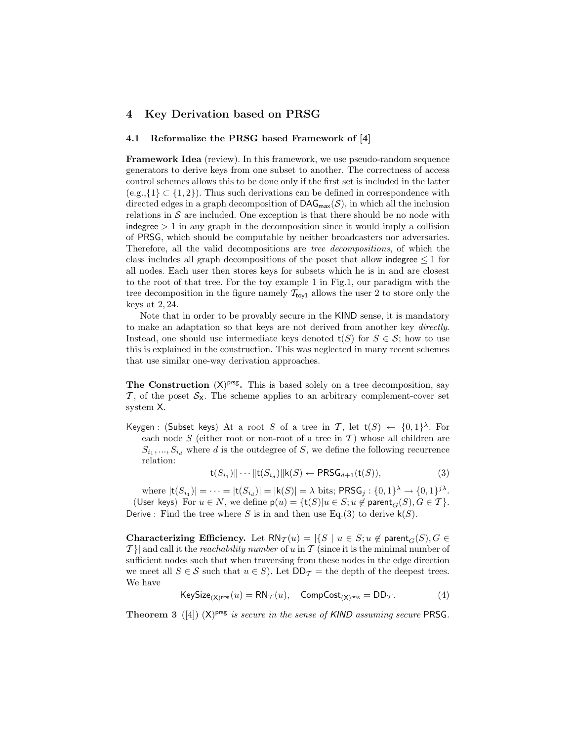# 4 Key Derivation based on PRSG

#### 4.1 Reformalize the PRSG based Framework of [4]

Framework Idea (review). In this framework, we use pseudo-random sequence generators to derive keys from one subset to another. The correctness of access control schemes allows this to be done only if the first set is included in the latter  $(e.g., {1} \subset {1, 2})$ . Thus such derivations can be defined in correspondence with directed edges in a graph decomposition of  $\text{DAG}_{\text{max}}(\mathcal{S})$ , in which all the inclusion relations in  $S$  are included. One exception is that there should be no node with indegree  $> 1$  in any graph in the decomposition since it would imply a collision of PRSG, which should be computable by neither broadcasters nor adversaries. Therefore, all the valid decompositions are tree decompositions, of which the class includes all graph decompositions of the poset that allow indegree  $\leq 1$  for all nodes. Each user then stores keys for subsets which he is in and are closest to the root of that tree. For the toy example 1 in Fig.1, our paradigm with the tree decomposition in the figure namely  $T_{\text{toy1}}$  allows the user 2 to store only the keys at 2, 24.

Note that in order to be provably secure in the KIND sense, it is mandatory to make an adaptation so that keys are not derived from another key directly. Instead, one should use intermediate keys denoted  $t(S)$  for  $S \in \mathcal{S}$ ; how to use this is explained in the construction. This was neglected in many recent schemes that use similar one-way derivation approaches.

The Construction  $(X)$ <sup>prsg</sup>. This is based solely on a tree decomposition, say  $\mathcal{T}$ , of the poset  $\mathcal{S}_{\mathsf{X}}$ . The scheme applies to an arbitrary complement-cover set system X.

Keygen : (Subset keys) At a root S of a tree in T, let  $t(S) \leftarrow \{0,1\}^{\lambda}$ . For each node  $S$  (either root or non-root of a tree in  $T$ ) whose all children are  $S_{i_1},...,S_{i_d}$  where d is the outdegree of S, we define the following recurrence relation:

$$
\mathsf{t}(S_{i_1})\|\cdots\|\mathsf{t}(S_{i_d})\|\mathsf{k}(S)\leftarrow \mathsf{PRSG}_{d+1}(\mathsf{t}(S)),\tag{3}
$$

where  $|\mathsf{t}(S_{i_1})| = \cdots = |\mathsf{t}(S_{i_d})| = |\mathsf{k}(S)| = \lambda$  bits; PRS $\mathsf{G}_j : \{0,1\}^\lambda \to \{0,1\}^{j\lambda}$ . (User keys) For  $u \in N$ , we define  $p(u) = {t(S)|u \in S; u \notin parent_G(S), G \in T}.$ Derive : Find the tree where S is in and then use Eq.(3) to derive  $\mathsf{k}(S)$ .

Characterizing Efficiency. Let  $RN_{\mathcal{T}}(u) = |\{S \mid u \in S; u \notin \text{parent}_{G}(S), G \in$  $\mathcal{T}$ } and call it the *reachability number* of u in T (since it is the minimal number of sufficient nodes such that when traversing from these nodes in the edge direction we meet all  $S \in \mathcal{S}$  such that  $u \in S$ ). Let  $DD_{\mathcal{T}}$  = the depth of the deepest trees. We have

$$
\mathsf{KeySize}_{(\mathsf{X})^{\mathsf{prsg}}}(u) = \mathsf{RN}_{\mathcal{T}}(u), \quad \mathsf{CompCost}_{(\mathsf{X})^{\mathsf{prsg}}} = \mathsf{DD}_{\mathcal{T}}.\tag{4}
$$

**Theorem 3** ([4])  $(X)$ <sup>prsg</sup> is secure in the sense of KIND assuming secure PRSG.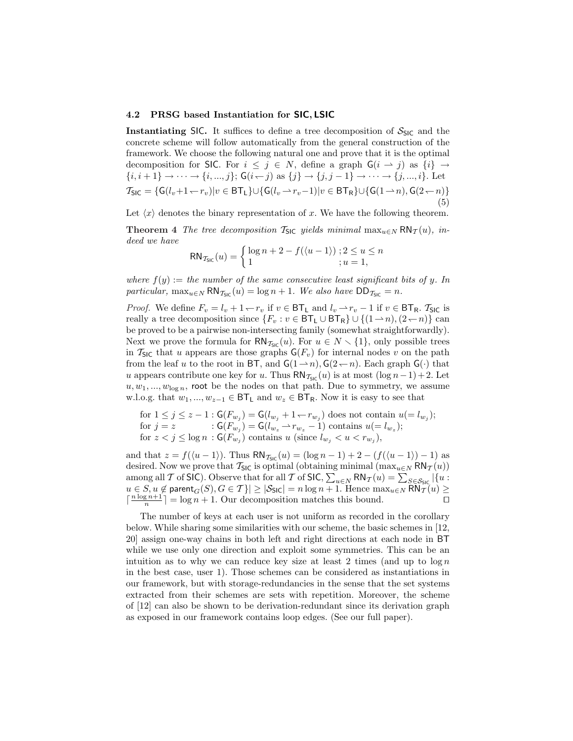#### 4.2 PRSG based Instantiation for SIC, LSIC

Instantiating SIC. It suffices to define a tree decomposition of  $S_{SIC}$  and the concrete scheme will follow automatically from the general construction of the framework. We choose the following natural one and prove that it is the optimal decomposition for SIC. For  $i \leq j \in N$ , define a graph  $\mathsf{G}(i \to j)$  as  $\{i\} \to$  $\{i, i+1\} \to \cdots \to \{i, ..., j\};$   $\mathsf{G}(i \leftarrow j)$  as  $\{j\} \to \{j, j-1\} \to \cdots \to \{j, ..., i\}.$  Let  $T_{\text{SIC}} = {\mathsf{G}(l_v+1\leftarrow r_v)|v \in \text{BT}_L\} \cup {\mathsf{G}(l_v\rightarrow r_v-1)|v \in \text{BT}_R\} \cup {\mathsf{G}(1\rightarrow n), \text{G}(2\leftarrow n)}$ (5)

Let  $\langle x \rangle$  denotes the binary representation of x. We have the following theorem.

**Theorem 4** The tree decomposition  $\mathcal{T}_{SIC}$  yields minimal  $\max_{u \in N} RN_{\mathcal{T}}(u)$ , indeed we have

$$
RN_{\mathcal{T}_{\text{SIC}}}(u) = \begin{cases} \log n + 2 - f(\langle u - 1 \rangle) \; ; 2 \le u \le n \\ 1 \; ; u = 1, \end{cases}
$$

where  $f(y) :=$  the number of the same consecutive least significant bits of y. In particular,  $\max_{u \in N} \text{RN}_{\mathcal{I}_{\text{SIC}}}(u) = \log n + 1$ . We also have  $\text{DD}_{\mathcal{I}_{\text{SIC}}} = n$ .

*Proof.* We define  $F_v = l_v + 1 \leftarrow r_v$  if  $v \in BT_L$  and  $l_v \rightarrow r_v - 1$  if  $v \in BT_R$ .  $T_{SIC}$  is really a tree decomposition since  $\{F_v : v \in \text{BT}_L \cup \text{BT}_R\} \cup \{(1 \rightarrow n), (2 \leftarrow n)\}\)$  can be proved to be a pairwise non-intersecting family (somewhat straightforwardly). Next we prove the formula for  $\mathsf{RN}_{\mathcal{I}_{\mathsf{SIC}}}(u)$ . For  $u \in N \setminus \{1\}$ , only possible trees in  $\mathcal{T}_{\text{SIC}}$  that u appears are those graphs  $\mathsf{G}(F_v)$  for internal nodes v on the path from the leaf u to the root in BT, and  $G(1 \rightarrow n)$ ,  $G(2 \leftarrow n)$ . Each graph  $G(\cdot)$  that u appears contribute one key for u. Thus  $\mathsf{RN}_{\mathcal{I}_{\mathsf{SIC}}}(u)$  is at most  $(\log n - 1) + 2$ . Let  $u, w_1, ..., w_{\log n}$ , root be the nodes on that path. Due to symmetry, we assume w.l.o.g. that  $w_1, ..., w_{z-1} \in BT_L$  and  $w_z \in BT_R$ . Now it is easy to see that

for 
$$
1 \leq j \leq z - 1
$$
:  $\mathsf{G}(F_{w_j}) = \mathsf{G}(l_{w_j} + 1 - r_{w_j})$  does not contain  $u(=l_{w_j})$ ; for  $j = z$ :  $\mathsf{G}(F_{w_j}) = \mathsf{G}(l_{w_z} - r_{w_z} - 1)$  contains  $u(=l_{w_z})$ ; for  $z < j \leq \log n$ :  $\mathsf{G}(F_{w_j})$  contains  $u$  (since  $l_{w_j} < u < r_{w_j}$ ),

and that  $z = f(\langle u - 1 \rangle)$ . Thus  $RN_{\mathcal{I}_{\text{SIC}}}(u) = (\log n - 1) + 2 - (f(\langle u - 1 \rangle) - 1)$  as desired. Now we prove that  $\mathcal{T}_{\text{SIC}}$  is optimal (obtaining minimal  $(\max_{u \in N} \text{RN}_{\mathcal{T}}(u))$ desired. Now we prove that  $I_{S|C}$  is optimal (obtaining minimal  $(\max_{u \in N} \kappa v_{\mathcal{T}}(u))$ <br>among all  $\mathcal T$  of SIC). Observe that for all  $\mathcal T$  of SIC,  $\sum_{u \in N} \kappa N_{\mathcal{T}}(u) = \sum_{S \in \mathcal{S}_{SIC}} |\{u :$  $u\in S, u\not\in \mathsf{parent}_G(S), G\in \mathcal{T}\}|\geq |\mathcal{S}_{\mathsf{SIC}}|=n\log n+1.$  Hence  $\max_{u\in N} \mathsf{RN}^{\perp}_{\mathcal{T}}(u)\geq$  $\lceil \frac{n \log n + 1}{n} \rceil = \log n + 1$ . Our decomposition matches this bound.

The number of keys at each user is not uniform as recorded in the corollary below. While sharing some similarities with our scheme, the basic schemes in [12, 20] assign one-way chains in both left and right directions at each node in BT while we use only one direction and exploit some symmetries. This can be an intuition as to why we can reduce key size at least 2 times (and up to  $\log n$ in the best case, user 1). Those schemes can be considered as instantiations in our framework, but with storage-redundancies in the sense that the set systems extracted from their schemes are sets with repetition. Moreover, the scheme of [12] can also be shown to be derivation-redundant since its derivation graph as exposed in our framework contains loop edges. (See our full paper).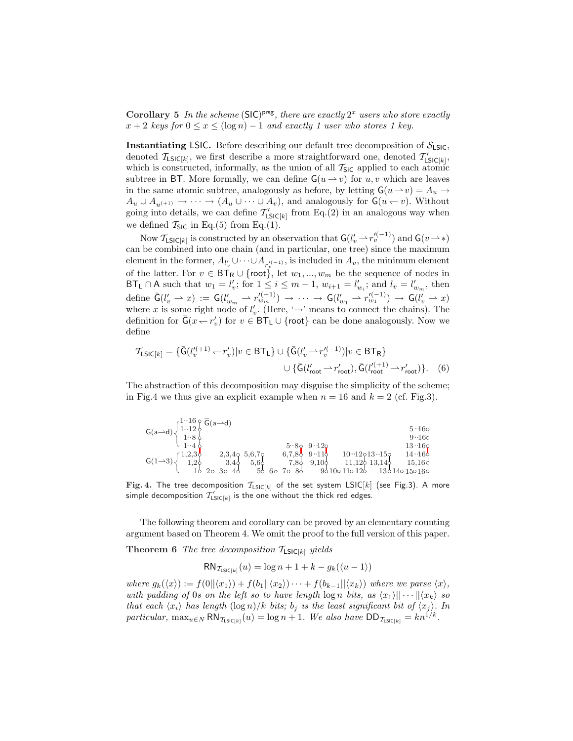Corollary 5 In the scheme (SIC)<sup>prsg</sup>, there are exactly  $2^x$  users who store exactly  $x + 2$  keys for  $0 \le x \le (\log n) - 1$  and exactly 1 user who stores 1 key.

**Instantiating LSIC.** Before describing our default tree decomposition of  $S_{LSC}$ , denoted  $\mathcal{T}_{\textsf{LSIC}[k]}$ , we first describe a more straightforward one, denoted  $\mathcal{T}'_{\textsf{LSIC}[k]}$ , which is constructed, informally, as the union of all  $T_{\text{SIC}}$  applied to each atomic subtree in BT. More formally, we can define  $G(u \to v)$  for u, v which are leaves in the same atomic subtree, analogously as before, by letting  $G(u \to v) = A_u \to$  $A_u \cup A_{u^{(+1)}} \to \cdots \to (A_u \cup \cdots \cup A_v)$ , and analogously for  $\mathsf{G}(u \leftarrow v)$ . Without going into details, we can define  $\mathcal{T}'_{\mathsf{LSIC}[k]}$  from Eq.(2) in an analogous way when we defined  $\mathcal{T}_{\text{SIC}}$  in Eq.(5) from Eq.(1).

Now  $\mathcal{T}_{\mathsf{LSIC}[k]}$  is constructed by an observation that  $\mathsf{G}(l'_v \to r''_v^{(-1)})$  and  $\mathsf{G}(v \to *)$ can be combined into one chain (and in particular, one tree) since the maximum element in the former,  $A_{l'_v} \cup \cdots \cup A_{r^{(t-1)}_{v}},$  is included in  $A_v$ , the minimum element of the latter. For  $v \in \mathsf{BT}_{\mathsf{R}} \cup \{\mathsf{root}\},\$ let  $w_1, ..., w_m$  be the sequence of nodes in BT<sub>L</sub>  $\cap$  A such that  $w_1 = l'_v$ ; for  $1 \leq i \leq m-1$ ,  $w_{i+1} = l'_{w_i}$ ; and  $l_v = l'_{w_m}$ , then define  $\bar{\mathsf{G}}(l'_v \rightharpoonup x) := \mathsf{G}(l'_{w_m} \rightharpoonup r'^{(-1)}_{w_m}) \rightharpoonup \cdots \rightharpoonup \mathsf{G}(l'_{w_1} \rightharpoonup r'^{(-1)}_{w_1}) \rightharpoonup \mathsf{G}(l'_v \rightharpoonup x)$ where x is some right node of  $l'_v$ . (Here, ' $\rightarrow$ ' means to connect the chains). The definition for  $\bar{G}(x - r'_v)$  for  $v \in BT_L \cup \{root\}$  can be done analogously. Now we define

$$
\mathcal{T}_{\mathsf{LSIC}[k]} = \{ \bar{\mathsf{G}}(l_v'^{(+1)} \smile r_v') | v \in \mathsf{BT}_\mathsf{L} \} \cup \{ \bar{\mathsf{G}}(l_v' \smile r_v'^{(-1)}) | v \in \mathsf{BT}_\mathsf{R} \}
$$

$$
\cup \{ \bar{\mathsf{G}}(l_{\mathsf{root}}' \smile r_{\mathsf{root}}'), \bar{\mathsf{G}}(l_{\mathsf{root}}'^{(+1)} \smile r_{\mathsf{root}}') \}. \tag{6}
$$

The abstraction of this decomposition may disguise the simplicity of the scheme; in Fig.4 we thus give an explicit example when  $n = 16$  and  $k = 2$  (cf. Fig.3).

| $(1.16 \circ \overline{G}(a \rightarrow d))$<br>$1 \cdot 12 \phi$<br>$G(a \rightarrow d)$ |                                                       |                      |             |                              | $5.16\circ$                  |
|-------------------------------------------------------------------------------------------|-------------------------------------------------------|----------------------|-------------|------------------------------|------------------------------|
| $1.8\sigma$<br>$1 \cdot 4 \delta$                                                         |                                                       |                      |             |                              | $9 - 160$<br>$13 \cdot 160$  |
| 1,2,3                                                                                     | 2,3,49<br>5,6,70                                      | $5.8$ 9.12<br>6,7,80 | $9 - 110$   | $10 \cdot 12013 \cdot 150$   | $14 - 160$                   |
| $G(1-3)$<br>$1.2\circ$<br>20 <sub>o</sub>                                                 | 3,40<br>$5.6\phi$<br>3 <sub>o</sub><br>56<br>60<br>46 | 7.86<br>70 86        | $9.10\circ$ | 11,120 13,140<br>90100110120 | $15,16\circ$<br>130140150160 |

Fig. 4. The tree decomposition  $\mathcal{T}_{\text{LSIC}[k]}$  of the set system LSIC[k] (see Fig.3). A more simple decomposition  $\mathcal{T}_{\mathsf{LSIC}[k]}'$  is the one without the thick red edges.

The following theorem and corollary can be proved by an elementary counting argument based on Theorem 4. We omit the proof to the full version of this paper.

**Theorem 6** The tree decomposition  $\mathcal{T}_{LSIC[k]}$  yields

$$
RN_{\mathcal{T}_{\text{LSIC}[k]}}(u) = \log n + 1 + k - g_k(\langle u - 1 \rangle)
$$

where  $g_k(\langle x \rangle) := f(0||\langle x_1 \rangle) + f(b_1||\langle x_2 \rangle) \cdots + f(b_{k-1}||\langle x_k \rangle)$  where we parse  $\langle x \rangle$ , with padding of 0s on the left so to have length  $\log n$  bits, as  $\langle x_1 \rangle || \cdots || \langle x_k \rangle$  so that each  $\langle x_i \rangle$  has length  $(\log n)/k$  bits; b<sub>j</sub> is the least significant bit of  $\langle x_j \rangle$ . In particular,  $\max_{u \in N} \text{RN}_{\mathcal{I}_{\text{LSIC}[k]}}(u) = \log n + 1$ . We also have  $\text{DD}_{\mathcal{I}_{\text{LSIC}[k]}} = kn^{1/k}$ .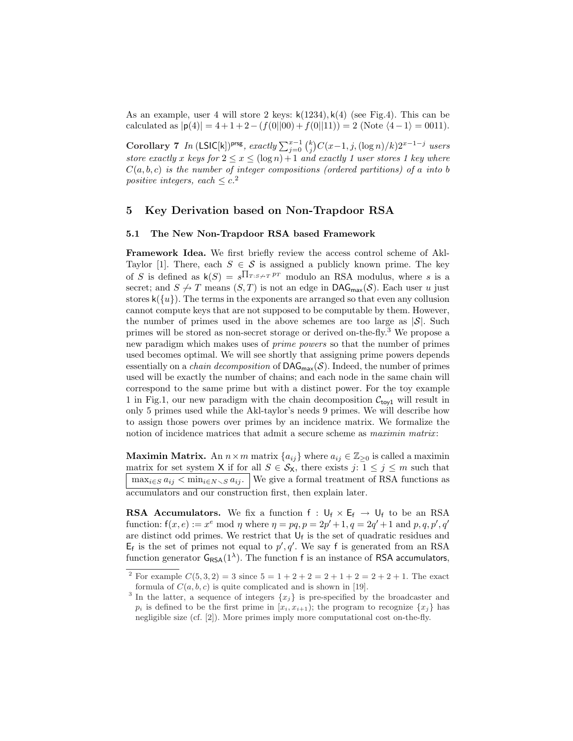As an example, user 4 will store 2 keys:  $k(1234)$ ,  $k(4)$  (see Fig.4). This can be calculated as  $|\mathbf{p}(4)| = 4 + 1 + 2 - (f(0||00) + f(0||11)) = 2$  (Note  $\langle 4 - 1 \rangle = 0011$ ).

Corollary 7 In (LSIC[k])<sup>prsg</sup>, exactly  $\sum_{j=0}^{x-1} {k \choose j}$  $C(x-1, j, (\log n)/k)2^{x-1-j}$  users store exactly x keys for  $2 \le x \le (\log n) + 1$  and exactly 1 user stores 1 key where  $C(a, b, c)$  is the number of integer compositions (ordered partitions) of a into b positive integers, each  $\leq c^2$ .

# 5 Key Derivation based on Non-Trapdoor RSA

#### 5.1 The New Non-Trapdoor RSA based Framework

Framework Idea. We first briefly review the access control scheme of Akl-Taylor [1]. There, each  $S \in \mathcal{S}$  is assigned a publicly known prime. The key of S is defined as  $\mathsf{k}(S) = s^{\prod_{T : S \not\rightarrow T} PT}$  modulo an RSA modulus, where s is a secret; and  $S \nrightarrow T$  means  $(S, T)$  is not an edge in DAG<sub>max</sub> $(S)$ . Each user u just stores  $k({u})$ . The terms in the exponents are arranged so that even any collusion cannot compute keys that are not supposed to be computable by them. However, the number of primes used in the above schemes are too large as  $|\mathcal{S}|$ . Such primes will be stored as non-secret storage or derived on-the-fly.<sup>3</sup> We propose a new paradigm which makes uses of prime powers so that the number of primes used becomes optimal. We will see shortly that assigning prime powers depends essentially on a *chain decomposition* of  $\text{DAG}_{\text{max}}(\mathcal{S})$ . Indeed, the number of primes used will be exactly the number of chains; and each node in the same chain will correspond to the same prime but with a distinct power. For the toy example 1 in Fig.1, our new paradigm with the chain decomposition  $C_{\text{toy1}}$  will result in only 5 primes used while the Akl-taylor's needs 9 primes. We will describe how to assign those powers over primes by an incidence matrix. We formalize the notion of incidence matrices that admit a secure scheme as *maximin matrix*:

**Maximin Matrix.** An  $n \times m$  matrix  $\{a_{ij}\}\$  where  $a_{ij} \in \mathbb{Z}_{\geq 0}$  is called a maximin matrix for set system X if for all  $S \in \mathcal{S}_{X}$ , there exists  $j: 1 \leq j \leq m$  such that  $\max_{i \in S} a_{ij} < \min_{i \in N \setminus S} a_{ij}$ . We give a formal treatment of RSA functions as accumulators and our construction first, then explain later.

**RSA Accumulators.** We fix a function  $f : U_f \times E_f \rightarrow U_f$  to be an RSA function:  $f(x, e) := x^e \mod \eta$  where  $\eta = pq, p = 2p' + 1, q = 2q' + 1$  and  $p, q, p', q'$ are distinct odd primes. We restrict that  $U_f$  is the set of quadratic residues and  $E_f$  is the set of primes not equal to  $p', q'$ . We say f is generated from an RSA function generator  $G_{RSA}(1^{\lambda})$ . The function f is an instance of RSA accumulators,

<sup>&</sup>lt;sup>2</sup> For example  $C(5,3,2) = 3$  since  $5 = 1 + 2 + 2 = 2 + 1 + 2 = 2 + 2 + 1$ . The exact formula of  $C(a, b, c)$  is quite complicated and is shown in [19].

<sup>&</sup>lt;sup>3</sup> In the latter, a sequence of integers  $\{x_j\}$  is pre-specified by the broadcaster and  $p_i$  is defined to be the first prime in  $[x_i, x_{i+1})$ ; the program to recognize  $\{x_j\}$  has negligible size (cf. [2]). More primes imply more computational cost on-the-fly.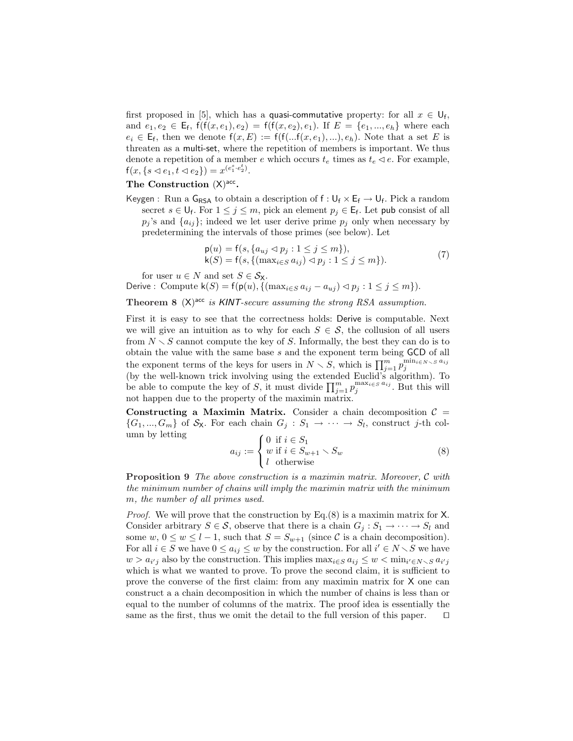first proposed in [5], which has a **quasi-commutative** property: for all  $x \in U_f$ , and  $e_1, e_2 \in \mathsf{E}_{\mathsf{f}}, \mathsf{f}(\mathsf{f}(x, e_1), e_2) = \mathsf{f}(\mathsf{f}(x, e_2), e_1)$ . If  $E = \{e_1, ..., e_h\}$  where each  $e_i \in \mathsf{E}_f$ , then we denote  $f(x, E) := f(f(...f(x, e_1), ...)$ ,  $e_h)$ . Note that a set E is threaten as a multi-set, where the repetition of members is important. We thus denote a repetition of a member e which occurs  $t_e$  times as  $t_e \triangleleft e$ . For example,  $f(x, \{s \triangleleft e_1, t \triangleleft e_2\}) = x^{(e_1^s \cdot e_2^t)}.$ 

# The Construction  $(X)$ <sup>acc</sup>.

Keygen : Run a  $G_{RSA}$  to obtain a description of  $f: U_f \times E_f \rightarrow U_f$ . Pick a random secret  $s \in \bigcup_{f}$ . For  $1 \leq j \leq m$ , pick an element  $p_j \in \mathsf{E}_f$ . Let pub consist of all  $p_j$ 's and  $\{a_{ij}\}$ ; indeed we let user derive prime  $p_j$  only when necessary by predetermining the intervals of those primes (see below). Let

$$
p(u) = f(s, \{a_{uj} \lhd p_j : 1 \le j \le m\}),k(S) = f(s, \{(\max_{i \in S} a_{ij}) \lhd p_j : 1 \le j \le m\}).
$$
\n(7)

for user  $u \in N$  and set  $S \in \mathcal{S}_{\mathsf{X}}$ .

Derive : Compute  $\mathsf{k}(S) = \mathsf{f}(\mathsf{p}(u), \{(\max_{i \in S} a_{ij} - a_{uj}) \leq p_j : 1 \leq j \leq m\}).$ 

Theorem 8  $(X)$ <sup>acc</sup> is KINT-secure assuming the strong RSA assumption.

First it is easy to see that the correctness holds: Derive is computable. Next we will give an intuition as to why for each  $S \in \mathcal{S}$ , the collusion of all users from  $N \setminus S$  cannot compute the key of S. Informally, the best they can do is to obtain the value with the same base s and the exponent term being GCD of all the exponent terms of the keys for users in  $N \setminus S$ , which is  $\prod_{j=1}^{m} p_j^{\min_{i \in N \setminus S} a_{ij}}$ (by the well-known trick involving using the extended Euclid's algorithm). To (by the wen-known trick involving using the extended Euclid's algorithm). To<br>be able to compute the key of S, it must divide  $\prod_{j=1}^{m} p_j^{\max_i \in S} a_{ij}$ . But this will not happen due to the property of the maximin matrix.

Constructing a Maximin Matrix. Consider a chain decomposition  $C =$  $\{G_1, ..., G_m\}$  of  $S_{\mathsf{X}}$ . For each chain  $G_j : S_1 \to \cdots \to S_l$ , construct j-th column by letting  $\overline{a}$ 

$$
a_{ij} := \begin{cases} 0 & \text{if } i \in S_1 \\ w & \text{if } i \in S_{w+1} \setminus S_w \\ l & \text{otherwise} \end{cases}
$$
 (8)

Proposition 9 The above construction is a maximin matrix. Moreover, C with the minimum number of chains will imply the maximin matrix with the minimum m, the number of all primes used.

*Proof.* We will prove that the construction by Eq. $(8)$  is a maximin matrix for X. Consider arbitrary  $S \in \mathcal{S}$ , observe that there is a chain  $G_j : S_1 \to \cdots \to S_l$  and some  $w, 0 \le w \le l-1$ , such that  $S = S_{w+1}$  (since C is a chain decomposition). For all  $i \in S$  we have  $0 \le a_{ij} \le w$  by the construction. For all  $i' \in N \setminus S$  we have  $w > a_{i'j}$  also by the construction. This implies  $\max_{i \in S} a_{ij} \leq w < \min_{i' \in N \setminus S} a_{i'j}$ which is what we wanted to prove. To prove the second claim, it is sufficient to prove the converse of the first claim: from any maximin matrix for X one can construct a a chain decomposition in which the number of chains is less than or equal to the number of columns of the matrix. The proof idea is essentially the same as the first, thus we omit the detail to the full version of this paper.  $\Box$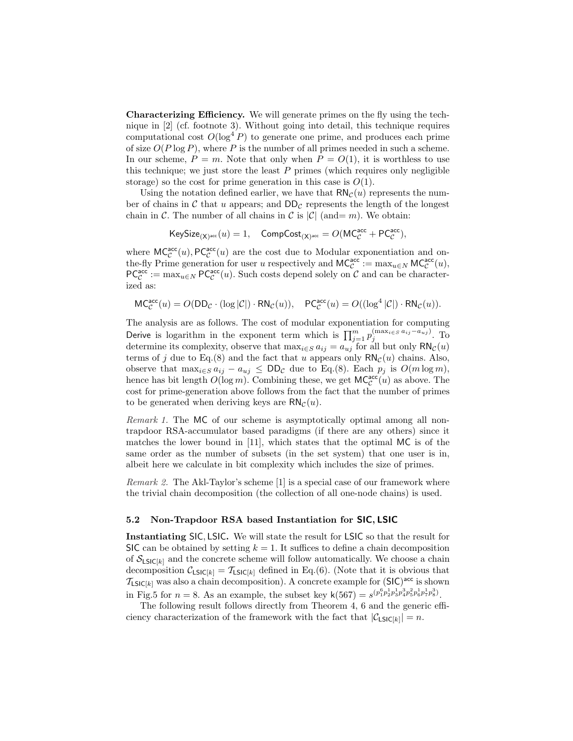Characterizing Efficiency. We will generate primes on the fly using the technique in [2] (cf. footnote 3). Without going into detail, this technique requires computational cost  $O(\log^4 P)$  to generate one prime, and produces each prime of size  $O(P \log P)$ , where P is the number of all primes needed in such a scheme. In our scheme,  $P = m$ . Note that only when  $P = O(1)$ , it is worthless to use this technique; we just store the least  $P$  primes (which requires only negligible storage) so the cost for prime generation in this case is  $O(1)$ .

Using the notation defined earlier, we have that  $\mathsf{RN}_{\mathcal{C}}(u)$  represents the number of chains in C that u appears; and  $DD_{\mathcal{C}}$  represents the length of the longest chain in C. The number of all chains in C is  $|\mathcal{C}|$  (and= m). We obtain:

$$
\mathsf{KeySize}_{(\mathsf{X})^\mathsf{acc}}(u) = 1, \quad \mathsf{CompCost}_{(\mathsf{X})^\mathsf{acc}} = O(\mathsf{MC}^\mathsf{acc}_\mathcal{C} + \mathsf{PC}^\mathsf{acc}_\mathcal{C}),
$$

where  $MC_C^{acc}(u)$ ,  $PC_C^{acc}(u)$  are the cost due to Modular exponentiation and onthe-fly Prime generation for user u respectively and  $MC_c^{\text{acc}} := \max_{u \in N} MC_c^{\text{acc}}(u)$ ,  $PC^{\text{acc}}_{\mathcal{C}} := \max_{u \in N} PC^{\text{acc}}_{\mathcal{C}}(u)$ . Such costs depend solely on  $\mathcal{C}$  and can be characterized as:

 $MC^{\text{acc}}_{\mathcal{C}}(u) = O(DD_{\mathcal{C}} \cdot (\log |\mathcal{C}|) \cdot RN_{\mathcal{C}}(u)), \quad PC^{\text{acc}}_{\mathcal{C}}(u) = O((\log^4 |\mathcal{C}|) \cdot RN_{\mathcal{C}}(u)).$ 

The analysis are as follows. The cost of modular exponentiation for computing Derive is logarithm in the exponent term which is  $\prod_{j=1}^{m} p_j^{(\max_{i \in S} a_{ij}-a_{uj})}$ . To determine its complexity, observe that  $\max_{i \in S} a_{ij} = a_{uj}$  for all but only  $\mathsf{RN}_{\mathcal{C}}(u)$ terms of j due to Eq.(8) and the fact that u appears only  $\mathsf{RN}_{\mathcal{C}}(u)$  chains. Also, observe that  $\max_{i \in S} a_{ij} - a_{uj} \leq DD_{\mathcal{C}}$  due to Eq.(8). Each  $p_j$  is  $O(m \log m)$ , hence has bit length  $O(\log m)$ . Combining these, we get  $\mathsf{MC}_\mathcal{C}^{\mathsf{acc}}(u)$  as above. The cost for prime-generation above follows from the fact that the number of primes to be generated when deriving keys are  $\mathsf{RN}_{\mathcal{C}}(u)$ .

Remark 1. The MC of our scheme is asymptotically optimal among all nontrapdoor RSA-accumulator based paradigms (if there are any others) since it matches the lower bound in [11], which states that the optimal MC is of the same order as the number of subsets (in the set system) that one user is in, albeit here we calculate in bit complexity which includes the size of primes.

Remark 2. The Akl-Taylor's scheme [1] is a special case of our framework where the trivial chain decomposition (the collection of all one-node chains) is used.

### 5.2 Non-Trapdoor RSA based Instantiation for SIC, LSIC

Instantiating SIC, LSIC. We will state the result for LSIC so that the result for SIC can be obtained by setting  $k = 1$ . It suffices to define a chain decomposition of  $S_{LSIC[k]}$  and the concrete scheme will follow automatically. We choose a chain decomposition  $\mathcal{C}_{LSIC[k]} = \mathcal{T}_{LSIC[k]}$  defined in Eq.(6). (Note that it is obvious that  $\mathcal{T}_{\textsf{LSIC}[k]}$  was also a chain decomposition). A concrete example for  $(\textsf{SIC})^\textsf{acc}$  is shown in Fig.5 for  $n = 8$ . As an example, the subset key  $\mathsf{k}(567) = s^{(p_1^6 p_2^1 p_3^1 p_4^2 p_5^2 p_6^1 p_7^1 p_8^3)}$ .

The following result follows directly from Theorem 4, 6 and the generic efficiency characterization of the framework with the fact that  $|\mathcal{C}_{\text{LSIC}[k]}| = n$ .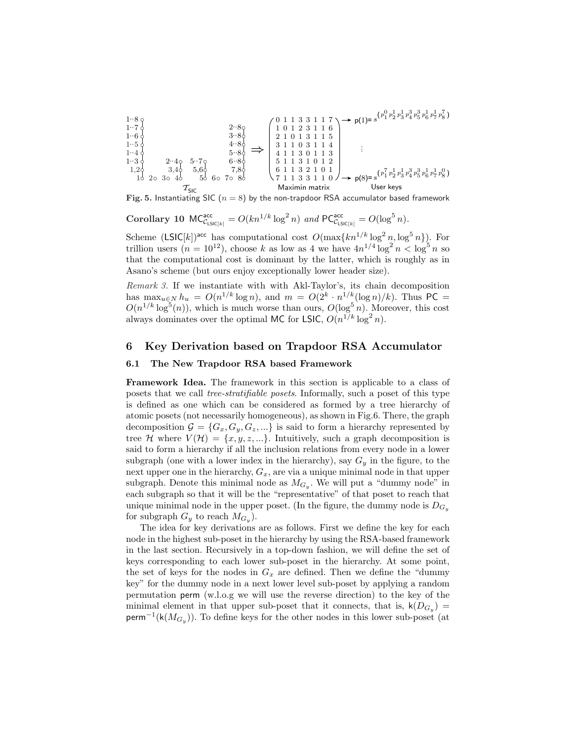$$
\begin{array}{c}\n1.8 \circ \\
1.7 \circ \\
1.7 \circ \\
1.6 \circ \\
1.6 \circ \\
1.5 \circ \\
1.2 \circ \\
2.4 \circ \\
5.4 \circ \\
2.4 \circ \\
5.6 \circ \\
1.2 \circ \\
3.4 \circ \\
5.6 \circ \\
7.8 \circ \\
7.8 \circ \\
7.8 \circ \\
7.8 \circ \\
7.11 \quad 3 \quad 3 \quad 1 \quad 0\n\end{array}\n\right\}
$$
\n
$$
\begin{array}{c}\n2.8 \circ \\
3.8 \circ \\
3.8 \circ \\
4.8 \circ \\
5.8 \circ \\
7.8 \circ \\
7.1 \quad 3 \quad 1 \quad 0\n\end{array}\n\right\}
$$
\n
$$
\begin{array}{c}\n0 & 1 & 1 & 3 & 3 & 1 & 7 \\
1 & 0 & 1 & 2 & 3 & 1 & 6 \\
2 & 1 & 0 & 1 & 3 & 1 & 1 \\
3 & 1 & 0 & 1 & 3 & 1 \\
4 & 1 & 1 & 3 & 0 & 1 & 3 \\
5 & 1 & 1 & 3 & 1 & 0 & 1 \\
6 & 1 & 1 & 3 & 2 & 1 & 0 \\
7 & 1 & 1 & 3 & 3 & 1 & 1\n\end{array}\n\right\}
$$
\n
$$
\begin{array}{c}\n\text{p(1)} = s^{(p_1^0 p_2^1 p_3^1 p_3^3 p_6^3 p_6^1 p_7^1 p_8^7)} \\
\text{p(2)} = s^{(p_1^7 p_2^1 p_3^1 p_4^3 p_5^3 p_6^1 p_7^1 p_8^0)} \\
\text{p(3)} = s^{(p_1^7 p_2^1 p_3^1 p_4^3 p_5^3 p_6^1 p_7^1 p_8^0)} \\
\text{p(8)} = s^{(p_1^7 p_2^1 p_3^1 p_4^3 p_5^3 p_6^1 p_7^1 p_8^0)} \\
\text{Solve keys}
$$

Fig. 5. Instantiating SIC ( $n = 8$ ) by the non-trapdoor RSA accumulator based framework

Corollary 10  $MC_{\text{ClSIC}[k]}^{\text{acc}} = O(kn^{1/k} \log^2 n)$  and  $PC_{\text{ClSIC}[k]}^{\text{acc}} = O(\log^5 n)$ .

Scheme  $(LSIC[k])^{acc}$  has computational cost  $O(\max\{kn^{1/k} \log^2 n, \log^5 n\})$ . For trillion users  $(n = 10^{12})$ , choose k as low as 4 we have  $4n^{1/4} \log^2 n < \log^5 n$  so that the computational cost is dominant by the latter, which is roughly as in Asano's scheme (but ours enjoy exceptionally lower header size).

Remark 3. If we instantiate with with Akl-Taylor's, its chain decomposition has  $\max_{u \in N} h_u = O(n^{1/k} \log n)$ , and  $m = O(2^k \cdot n^{1/k} (\log n)/k)$ . Thus PC =  $O(n^{1/k} \log^{5}(n))$ , which is much worse than ours,  $O(\log^{5} n)$ . Moreover, this cost always dominates over the optimal MC for LSIC,  $O(n^{1/k} \log^2 n)$ .

## 6 Key Derivation based on Trapdoor RSA Accumulator

#### 6.1 The New Trapdoor RSA based Framework

Framework Idea. The framework in this section is applicable to a class of posets that we call tree-stratifiable posets. Informally, such a poset of this type is defined as one which can be considered as formed by a tree hierarchy of atomic posets (not necessarily homogeneous), as shown in Fig.6. There, the graph decomposition  $\mathcal{G} = \{G_x, G_y, G_z, ...\}$  is said to form a hierarchy represented by tree H where  $V(\mathcal{H}) = \{x, y, z, ...\}$ . Intuitively, such a graph decomposition is said to form a hierarchy if all the inclusion relations from every node in a lower subgraph (one with a lower index in the hierarchy), say  $G_y$  in the figure, to the next upper one in the hierarchy,  $G_x$ , are via a unique minimal node in that upper subgraph. Denote this minimal node as  $M_{G_y}$ . We will put a "dummy node" in each subgraph so that it will be the "representative" of that poset to reach that unique minimal node in the upper poset. (In the figure, the dummy node is  $D_{G_y}$ for subgraph  $G_y$  to reach  $M_{G_y}$ ).

The idea for key derivations are as follows. First we define the key for each node in the highest sub-poset in the hierarchy by using the RSA-based framework in the last section. Recursively in a top-down fashion, we will define the set of keys corresponding to each lower sub-poset in the hierarchy. At some point, the set of keys for the nodes in  $G_x$  are defined. Then we define the "dummy" key" for the dummy node in a next lower level sub-poset by applying a random permutation perm (w.l.o.g we will use the reverse direction) to the key of the minimal element in that upper sub-poset that it connects, that is,  $\mathsf{k}(D_{G_y}) =$ perm<sup>-1</sup>(k( $M_{G_y}$ )). To define keys for the other nodes in this lower sub-poset (at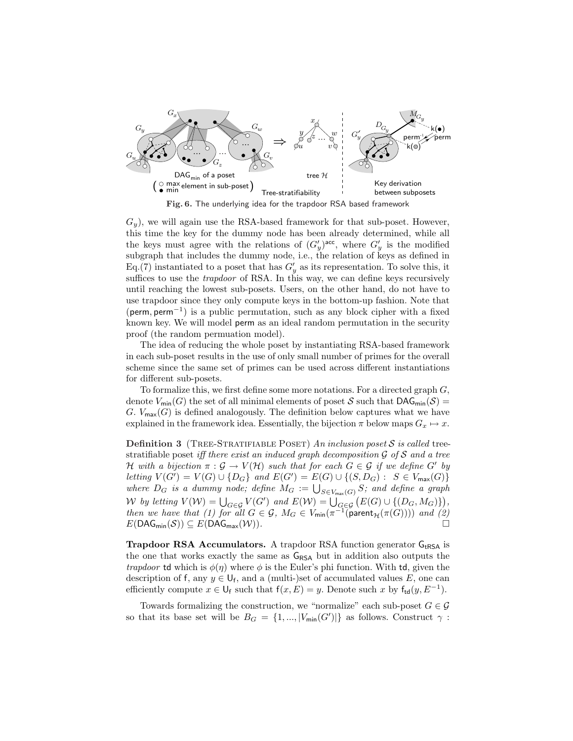

Fig. 6. The underlying idea for the trapdoor RSA based framework

 $G_y$ , we will again use the RSA-based framework for that sub-poset. However, this time the key for the dummy node has been already determined, while all the keys must agree with the relations of  $(G'_y)^{acc}$ , where  $G'_y$  is the modified subgraph that includes the dummy node, i.e., the relation of keys as defined in Eq.(7) instantiated to a poset that has  $G'_y$  as its representation. To solve this, it suffices to use the *trapdoor* of RSA. In this way, we can define keys recursively until reaching the lowest sub-posets. Users, on the other hand, do not have to use trapdoor since they only compute keys in the bottom-up fashion. Note that (perm, perm<sup>−</sup><sup>1</sup> ) is a public permutation, such as any block cipher with a fixed known key. We will model perm as an ideal random permutation in the security proof (the random permuation model).

The idea of reducing the whole poset by instantiating RSA-based framework in each sub-poset results in the use of only small number of primes for the overall scheme since the same set of primes can be used across different instantiations for different sub-posets.

To formalize this, we first define some more notations. For a directed graph  $G$ , denote  $V_{\text{min}}(G)$  the set of all minimal elements of poset S such that  $\text{DAG}_{\text{min}}(\mathcal{S}) =$ G.  $V_{\text{max}}(G)$  is defined analogously. The definition below captures what we have explained in the framework idea. Essentially, the bijection  $\pi$  below maps  $G_x \mapsto x$ .

**Definition 3** (TREE-STRATIFIABLE POSET) An inclusion poset S is called treestratifiable poset iff there exist an induced graph decomposition  $\mathcal G$  of  $\mathcal S$  and a tree H with a bijection  $\pi : \mathcal{G} \to V(\mathcal{H})$  such that for each  $G \in \mathcal{G}$  if we define G' by letting  $V(G') = V(G) ∪ {D_G}$  and  $E(G') = E(G) ∪ { (S, D_G) : S \in V_{\text{max}}(G) }$ tetting  $V(G) = V(G) \cup \{D_G\}$  and  $E(G) = E(G) \cup \{(S, D_G) : S \in V_{\text{max}}(G)\}$ <br>where  $D_G$  is a dummy node; define  $M_G := \bigcup_{S \in V_{\text{max}}(G)} S$ ; and define a graph We by letting  $V(W) = \bigcup_{G \in \mathcal{G}} V(G')$  and  $E(W) = \bigcup_{G \in \mathcal{G}} (E(G) \cup \{(D_G, M_G)\})$ , then we have that (1) for all  $G \in \mathcal{G}$ ,  $M_G \in V_{\text{min}}(\pi^{-1}(\text{parent}_{\mathcal{H}}(\pi(G))))$  and (2)  $E(DAG_{min}(\mathcal{S})) \subseteq E(DAG_{max}(\mathcal{W}))$ .

**Trapdoor RSA Accumulators.** A trapdoor RSA function generator  $G_{tRSA}$  is the one that works exactly the same as  $G_{RSA}$  but in addition also outputs the *trapdoor* td which is  $\phi(\eta)$  where  $\phi$  is the Euler's phi function. With td, given the description of f, any  $y \in U_f$ , and a (multi-)set of accumulated values E, one can efficiently compute  $x \in \mathsf{U}_{\mathsf{f}}$  such that  $\mathsf{f}(x,E) = y$ . Denote such x by  $\mathsf{f}_{\mathsf{td}}(y,E^{-1})$ .

Towards formalizing the construction, we "normalize" each sub-poset  $G \in \mathcal{G}$ so that its base set will be  $B_G = \{1, ..., |V_{\text{min}}(G')|\}$  as follows. Construct  $\gamma$ :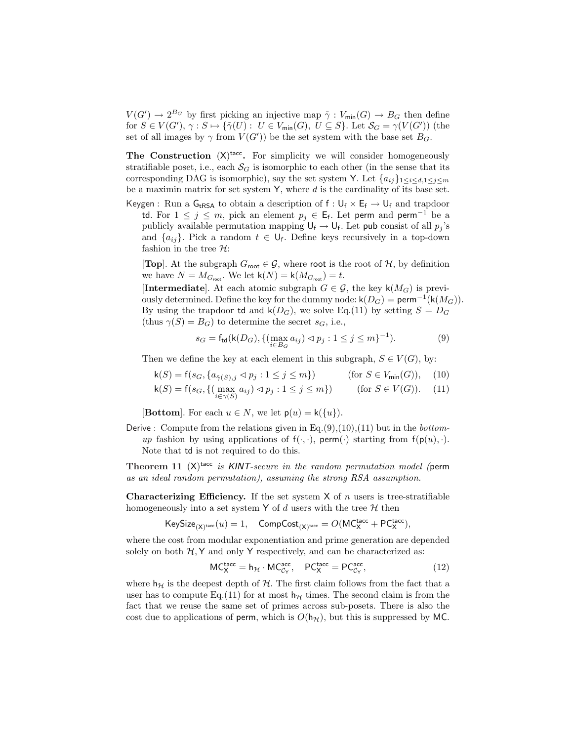$V(G') \to 2^{B_G}$  by first picking an injective map  $\tilde{\gamma}: V_{\text{min}}(G) \to B_G$  then define for  $S \in V(G'), \gamma : S \mapsto \{ \tilde{\gamma}(U) : U \in V_{\text{min}}(G), U \subseteq S \}$ . Let  $\mathcal{S}_G = \gamma(V(G'))$  (the set of all images by  $\gamma$  from  $V(G')$ ) be the set system with the base set  $B_G$ .

The Construction  $(X)$ <sup>tacc</sup>. For simplicity we will consider homogeneously stratifiable poset, i.e., each  $S_G$  is isomorphic to each other (in the sense that its corresponding DAG is isomorphic), say the set system Y. Let  ${a_{ij}}_{1 \le i \le d, 1 \le j \le m}$ be a maximin matrix for set system  $Y$ , where  $d$  is the cardinality of its base set.

Keygen : Run a  $G_{tRSA}$  to obtain a description of  $f: U_f \times E_f \rightarrow U_f$  and trapdoor td. For  $1 \leq j \leq m$ , pick an element  $p_j \in \mathsf{E}_{\mathsf{f}}$ . Let perm and perm<sup>-1</sup> be a publicly available permutation mapping  $\mathsf{U}_{\mathsf{f}} \to \mathsf{U}_{\mathsf{f}}$ . Let pub consist of all  $p_j$ 's and  $\{a_{ij}\}\$ . Pick a random  $t \in \bigcup_{f}$ . Define keys recursively in a top-down fashion in the tree  $\mathcal{H}$ :

**[Top]**. At the subgraph  $G_{\text{root}} \in \mathcal{G}$ , where root is the root of  $\mathcal{H}$ , by definition we have  $N = M_{G_{\text{root}}}$ . We let  $\mathsf{k}(N) = \mathsf{k}(M_{G_{\text{root}}}) = t$ .

[Intermediate]. At each atomic subgraph  $G \in \mathcal{G}$ , the key  $\mathsf{k}(M_G)$  is previously determined. Define the key for the dummy node:  $\mathsf{k}(D_G) = \mathsf{perm}^{-1}(\mathsf{k}(M_G)).$ By using the trapdoor **td** and  $\mathsf{k}(D_G)$ , we solve Eq.(11) by setting  $S = D_G$ (thus  $\gamma(S) = B_G$ ) to determine the secret  $s_G$ , i.e.,

$$
s_G = f_{\text{td}}(\mathsf{k}(D_G), \{ (\max_{i \in B_G} a_{ij}) \lhd p_j : 1 \le j \le m \}^{-1}). \tag{9}
$$

Then we define the key at each element in this subgraph,  $S \in V(G)$ , by:

$$
\mathsf{k}(S) = \mathsf{f}(s_G, \{a_{\tilde{\gamma}(S),j} \lhd p_j : 1 \le j \le m\}) \qquad \text{(for } S \in V_{\text{min}}(G)), \quad (10)
$$

$$
\mathsf{k}(S) = \mathsf{f}(s_G, \{ (\max_{i \in \gamma(S)} a_{ij}) \lhd p_j : 1 \le j \le m \}) \qquad \text{(for } S \in V(G)). \tag{11}
$$

**[Bottom]**. For each  $u \in N$ , we let  $p(u) = k({u})$ .

Derive : Compute from the relations given in Eq. $(9)$ , $(10)$ , $(11)$  but in the *bottom*up fashion by using applications of  $f(\cdot, \cdot)$ , perm $(\cdot)$  starting from  $f(p(u), \cdot)$ . Note that td is not required to do this.

Theorem 11  $(X)$ <sup>tacc</sup> is KINT-secure in the random permutation model (perm as an ideal random permutation), assuming the strong RSA assumption.

**Characterizing Efficiency.** If the set system  $X$  of n users is tree-stratifiable homogeneously into a set system Y of d users with the tree  $H$  then

 $\mathsf{KeySize}_{(\mathsf{X})^\mathsf{tacc}}(u) = 1, \quad \mathsf{CompCost}_{(\mathsf{X})^\mathsf{tacc}} = O(\mathsf{MC}_\mathsf{X}^\mathsf{tacc} + \mathsf{PC}_\mathsf{X}^\mathsf{tacc}),$ 

where the cost from modular exponentiation and prime generation are depended solely on both  $H, Y$  and only Y respectively, and can be characterized as:

$$
MC_X^{\text{tacc}} = h_{\mathcal{H}} \cdot MC_{\mathcal{C}_Y}^{\text{acc}}, \quad PC_X^{\text{tacc}} = PC_{\mathcal{C}_Y}^{\text{acc}}, \tag{12}
$$

where  $h_{\mathcal{H}}$  is the deepest depth of  $\mathcal{H}$ . The first claim follows from the fact that a user has to compute Eq.(11) for at most  $h<sub>H</sub>$  times. The second claim is from the fact that we reuse the same set of primes across sub-posets. There is also the cost due to applications of perm, which is  $O(h_{\mathcal{H}})$ , but this is suppressed by MC.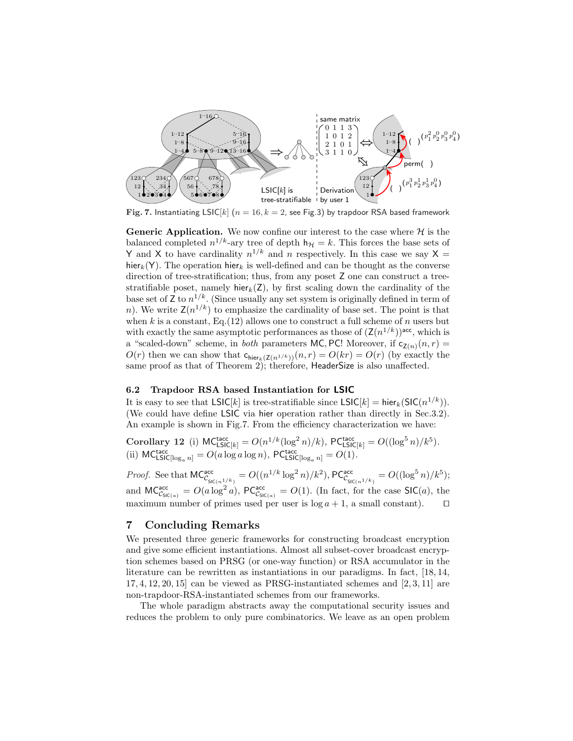

Fig. 7. Instantiating LSIC[k] ( $n = 16$ ,  $k = 2$ , see Fig.3) by trapdoor RSA based framework

Generic Application. We now confine our interest to the case where  $H$  is the balanced completed  $n^{1/k}$ -ary tree of depth  $h_{\mathcal{H}} = k$ . This forces the base sets of Y and X to have cardinality  $n^{1/k}$  and n respectively. In this case we say X = hier<sub>k</sub>(Y). The operation hier<sub>k</sub> is well-defined and can be thought as the converse direction of tree-stratification; thus, from any poset Z one can construct a treestratifiable poset, namely hier $_k(Z)$ , by first scaling down the cardinality of the base set of Z to  $n^{1/k}$ . (Since usually any set system is originally defined in term of n). We write  $\mathsf{Z}(n^{1/k})$  to emphasize the cardinality of base set. The point is that when k is a constant, Eq. (12) allows one to construct a full scheme of n users but with exactly the same asymptotic performances as those of  $(\mathsf{Z}(n^{1/k}))^{\mathsf{acc}}$ , which is a "scaled-down" scheme, in *both* parameters MC, PC! Moreover, if  $c_{Z(n)}(n, r) =$  $O(r)$  then we can show that  $c_{\text{hier}_k(Z(n^{1/k}))}(n, r) = O(kr) = O(r)$  (by exactly the same proof as that of Theorem 2); therefore, HeaderSize is also unaffected.

#### 6.2 Trapdoor RSA based Instantiation for LSIC

It is easy to see that  $LSIC[k]$  is tree-stratifiable since  $LSIC[k] = \text{hier}_k(SIC(n^{1/k})).$ (We could have define LSIC via hier operation rather than directly in Sec.3.2). An example is shown in Fig.7. From the efficiency characterization we have:

Corollary 12 (i)  $MC_{\text{LSIC}[k]}^{\text{tacc}} = O(n^{1/k} (\log^2 n)/k)$ ,  $PC_{\text{LSIC}[k]}^{\text{tacc}} = O((\log^5 n)/k^5)$ . (ii)  $MC_{\text{LSIC}[\log_a n]}^{\text{tacc}} = O(a \log a \log n)$ ,  $PC_{\text{LSIC}[\log_a n]}^{\text{tacc}} = O(1)$ .

*Proof.* See that  $MC_{c_{\mathsf{SIC}(n^{1/k})}}^{\mathsf{acc}} = O((n^{1/k} \log^2 n)/k^2), PC_{c_{\mathsf{SIC}(n^{1/k})}}^{\mathsf{acc}} = O((\log^5 n)/k^5);$ and  $MC_{CS(C(a))}^{acc} = O(a \log^2 a)$ ,  $PC_{CS(C(a))}^{acc} = O(1)$ . (In fact, for the case SIC(a), the maximum number of primes used per user is  $log a + 1$ , a small constant).

# 7 Concluding Remarks

We presented three generic frameworks for constructing broadcast encryption and give some efficient instantiations. Almost all subset-cover broadcast encryption schemes based on PRSG (or one-way function) or RSA accumulator in the literature can be rewritten as instantiations in our paradigms. In fact, [18, 14,  $17, 4, 12, 20, 15$  can be viewed as PRSG-instantiated schemes and  $[2, 3, 11]$  are non-trapdoor-RSA-instantiated schemes from our frameworks.

The whole paradigm abstracts away the computational security issues and reduces the problem to only pure combinatorics. We leave as an open problem